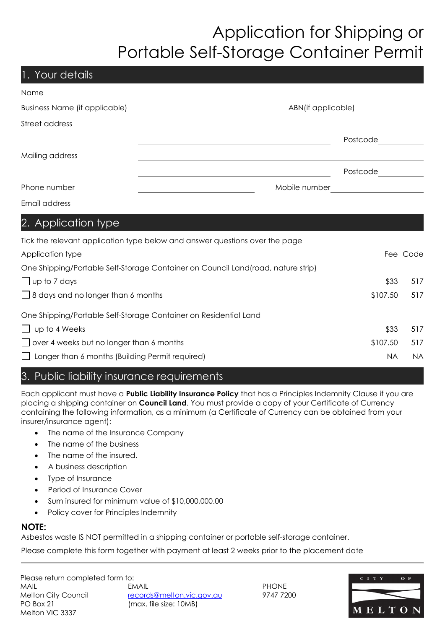# Application for Shipping or Portable Self-Storage Container Permit

| 1. Your details                                 |                                                                                  |           |          |
|-------------------------------------------------|----------------------------------------------------------------------------------|-----------|----------|
| Name                                            |                                                                                  |           |          |
| <b>Business Name (if applicable)</b>            | ABN(if applicable)                                                               |           |          |
| Street address                                  |                                                                                  |           |          |
|                                                 |                                                                                  | Postcode  |          |
| Mailing address                                 |                                                                                  |           |          |
|                                                 |                                                                                  | Postcode  |          |
| Phone number                                    | Mobile number                                                                    |           |          |
| Email address                                   |                                                                                  |           |          |
| 2. Application type                             |                                                                                  |           |          |
|                                                 | Tick the relevant application type below and answer questions over the page      |           |          |
| Application type                                |                                                                                  |           | Fee Code |
|                                                 | One Shipping/Portable Self-Storage Container on Council Land(road, nature strip) |           |          |
| $\Box$ up to 7 days                             |                                                                                  | \$33      | 517      |
| $\Box$ 8 days and no longer than 6 months       |                                                                                  | \$107.50  | 517      |
|                                                 | One Shipping/Portable Self-Storage Container on Residential Land                 |           |          |
| up to 4 Weeks                                   |                                                                                  | \$33      | 517      |
| over 4 weeks but no longer than 6 months        | \$107.50                                                                         | 517       |          |
| Longer than 6 months (Building Permit required) | <b>NA</b>                                                                        | <b>NA</b> |          |

## 3. Public liability insurance requirements

Each applicant must have a **Public Liability Insurance Policy** that has a Principles Indemnity Clause if you are placing a shipping container on **Council Land**. You must provide a copy of your Certificate of Currency containing the following information, as a minimum (a Certificate of Currency can be obtained from your insurer/insurance agent):

- The name of the Insurance Company
- The name of the business
- The name of the insured.
- A business description
- Type of Insurance
- Period of Insurance Cover
- Sum insured for minimum value of \$10,000,000.00
- Policy cover for Principles Indemnity

### **NOTE:**

Asbestos waste IS NOT permitted in a shipping container or portable self-storage container.

Please complete this form together with payment at least 2 weeks prior to the placement date

Please return completed form to: MAIL EMAIL PHONE Melton City Council [records@melton.vic.gov.au](mailto:records@melton.vic.gov.au) 9747 7200 PO Box 21 (max. file size: 10MB) Melton VIC 3337